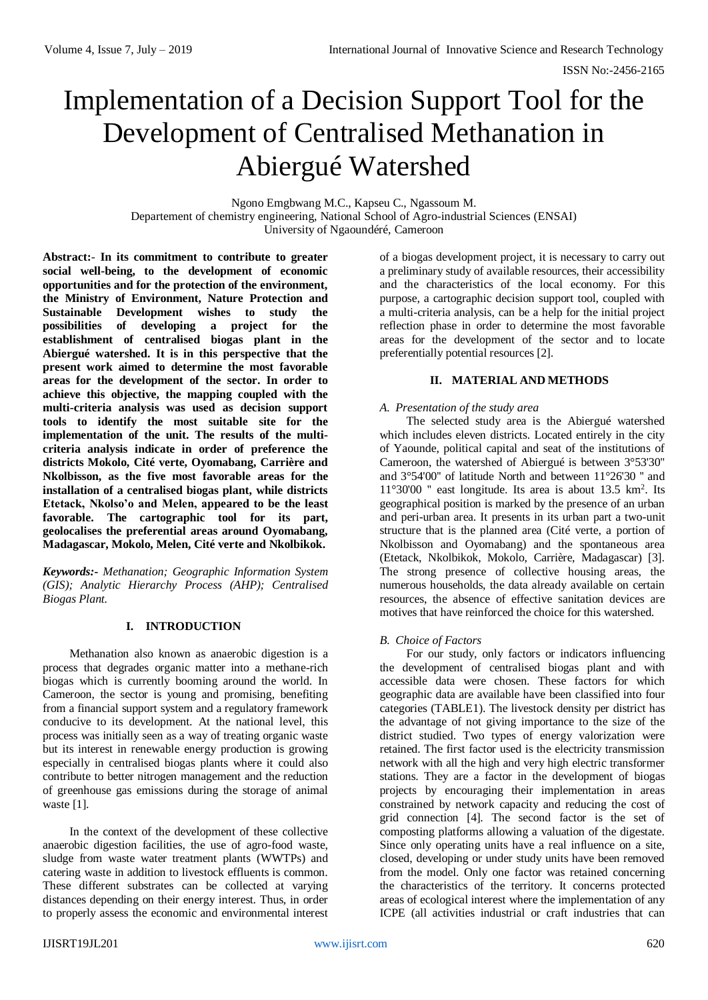# Implementation of a Decision Support Tool for the Development of Centralised Methanation in Abiergué Watershed

Ngono Emgbwang M.C., Kapseu C., Ngassoum M. Departement of chemistry engineering, National School of Agro-industrial Sciences (ENSAI) University of Ngaoundéré, Cameroon

**Abstract:**- **In its commitment to contribute to greater social well-being, to the development of economic opportunities and for the protection of the environment, the Ministry of Environment, Nature Protection and Sustainable Development wishes to study the possibilities of developing a project for the establishment of centralised biogas plant in the Abiergué watershed. It is in this perspective that the present work aimed to determine the most favorable areas for the development of the sector. In order to achieve this objective, the mapping coupled with the multi-criteria analysis was used as decision support tools to identify the most suitable site for the implementation of the unit. The results of the multicriteria analysis indicate in order of preference the districts Mokolo, Cité verte, Oyomabang, Carrière and Nkolbisson, as the five most favorable areas for the installation of a centralised biogas plant, while districts Etetack, Nkolso'o and Melen, appeared to be the least favorable. The cartographic tool for its part, geolocalises the preferential areas around Oyomabang, Madagascar, Mokolo, Melen, Cité verte and Nkolbikok.**

*Keywords:- Methanation; Geographic Information System (GIS); Analytic Hierarchy Process (AHP); Centralised Biogas Plant.*

# **I. INTRODUCTION**

Methanation also known as anaerobic digestion is a process that degrades organic matter into a methane-rich biogas which is currently booming around the world. In Cameroon, the sector is young and promising, benefiting from a financial support system and a regulatory framework conducive to its development. At the national level, this process was initially seen as a way of treating organic waste but its interest in renewable energy production is growing especially in centralised biogas plants where it could also contribute to better nitrogen management and the reduction of greenhouse gas emissions during the storage of animal waste [1].

In the context of the development of these collective anaerobic digestion facilities, the use of agro-food waste, sludge from waste water treatment plants (WWTPs) and catering waste in addition to livestock effluents is common. These different substrates can be collected at varying distances depending on their energy interest. Thus, in order to properly assess the economic and environmental interest of a biogas development project, it is necessary to carry out a preliminary study of available resources, their accessibility and the characteristics of the local economy. For this purpose, a cartographic decision support tool, coupled with a multi-criteria analysis, can be a help for the initial project reflection phase in order to determine the most favorable areas for the development of the sector and to locate preferentially potential resources [2].

## **II. MATERIAL AND METHODS**

## *A. Presentation of the study area*

The selected study area is the Abiergué watershed which includes eleven districts. Located entirely in the city of Yaounde, political capital and seat of the institutions of Cameroon, the watershed of Abiergué is between 3°53'30'' and 3°54'00'' of latitude North and between 11°26'30 '' and 11°30'00 " east longitude. Its area is about 13.5 km<sup>2</sup>. Its geographical position is marked by the presence of an urban and peri-urban area. It presents in its urban part a two-unit structure that is the planned area (Cité verte, a portion of Nkolbisson and Oyomabang) and the spontaneous area (Etetack, Nkolbikok, Mokolo, Carrière, Madagascar) [3]. The strong presence of collective housing areas, the numerous households, the data already available on certain resources, the absence of effective sanitation devices are motives that have reinforced the choice for this watershed.

#### *B. Choice of Factors*

For our study, only factors or indicators influencing the development of centralised biogas plant and with accessible data were chosen. These factors for which geographic data are available have been classified into four categories (TABLE1). The livestock density per district has the advantage of not giving importance to the size of the district studied. Two types of energy valorization were retained. The first factor used is the electricity transmission network with all the high and very high electric transformer stations. They are a factor in the development of biogas projects by encouraging their implementation in areas constrained by network capacity and reducing the cost of grid connection [4]. The second factor is the set of composting platforms allowing a valuation of the digestate. Since only operating units have a real influence on a site, closed, developing or under study units have been removed from the model. Only one factor was retained concerning the characteristics of the territory. It concerns protected areas of ecological interest where the implementation of any ICPE (all activities industrial or craft industries that can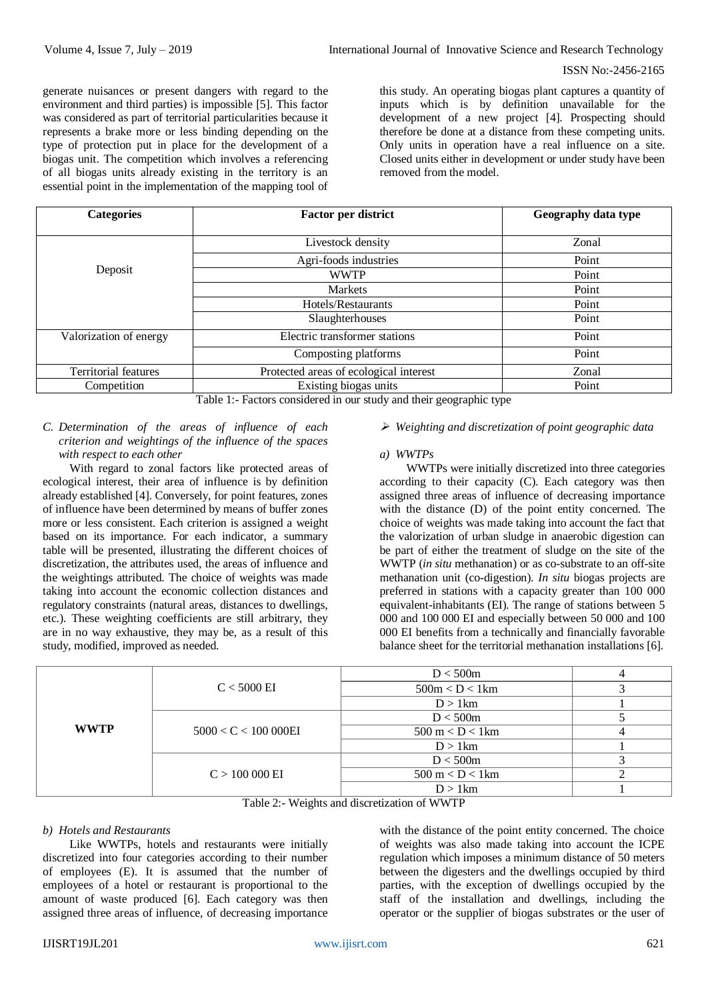generate nuisances or present dangers with regard to the environment and third parties) is impossible [5]. This factor was considered as part of territorial particularities because it represents a brake more or less binding depending on the type of protection put in place for the development of a biogas unit. The competition which involves a referencing of all biogas units already existing in the territory is an essential point in the implementation of the mapping tool of

this study. An operating biogas plant captures a quantity of inputs which is by definition unavailable for the development of a new project [4]. Prospecting should therefore be done at a distance from these competing units. Only units in operation have a real influence on a site. Closed units either in development or under study have been removed from the model.

| <b>Categories</b>           | <b>Factor per district</b>             | Geography data type |  |
|-----------------------------|----------------------------------------|---------------------|--|
|                             | Livestock density                      | Zonal               |  |
|                             | Agri-foods industries                  | Point               |  |
| Deposit                     | <b>WWTP</b>                            | Point               |  |
|                             | <b>Markets</b>                         | Point               |  |
|                             | Hotels/Restaurants                     | Point               |  |
|                             | Slaughterhouses                        | Point               |  |
| Valorization of energy      | Electric transformer stations          | Point               |  |
|                             | Composting platforms                   | Point               |  |
| <b>Territorial features</b> | Protected areas of ecological interest | Zonal               |  |
| Competition                 | Existing biogas units                  | Point               |  |

Table 1:- Factors considered in our study and their geographic type

# *C. Determination of the areas of influence of each criterion and weightings of the influence of the spaces with respect to each other*

With regard to zonal factors like protected areas of ecological interest, their area of influence is by definition already established [4]. Conversely, for point features, zones of influence have been determined by means of buffer zones more or less consistent. Each criterion is assigned a weight based on its importance. For each indicator, a summary table will be presented, illustrating the different choices of discretization, the attributes used, the areas of influence and the weightings attributed. The choice of weights was made taking into account the economic collection distances and regulatory constraints (natural areas, distances to dwellings, etc.). These weighting coefficients are still arbitrary, they are in no way exhaustive, they may be, as a result of this study, modified, improved as needed.

## *Weighting and discretization of point geographic data*

#### *a) WWTPs*

WWTPs were initially discretized into three categories according to their capacity (C). Each category was then assigned three areas of influence of decreasing importance with the distance (D) of the point entity concerned. The choice of weights was made taking into account the fact that the valorization of urban sludge in anaerobic digestion can be part of either the treatment of sludge on the site of the WWTP (*in situ* methanation) or as co-substrate to an off-site methanation unit (co-digestion). *In situ* biogas projects are preferred in stations with a capacity greater than 100 000 equivalent-inhabitants (EI). The range of stations between 5 000 and 100 000 EI and especially between 50 000 and 100 000 EI benefits from a technically and financially favorable balance sheet for the territorial methanation installations [6].

| <b>WWTP</b> |                    | D < 500m                           |  |
|-------------|--------------------|------------------------------------|--|
|             | $C < 5000$ EI      | 500m < D < 1km                     |  |
|             |                    | $D > 1$ km                         |  |
|             | 5000 < C < 100000E | D < 500m                           |  |
|             |                    | $500 \text{ m} < D < 1 \text{ km}$ |  |
|             |                    | $D > 1$ km                         |  |
|             |                    | D < 500m                           |  |
|             | $C > 100000$ EI    | $500 \text{ m} < D < 1 \text{ km}$ |  |
|             |                    | $D > 1$ km                         |  |

Table 2:- Weights and discretization of WWTP

#### *b) Hotels and Restaurants*

Like WWTPs, hotels and restaurants were initially discretized into four categories according to their number of employees (E). It is assumed that the number of employees of a hotel or restaurant is proportional to the amount of waste produced [6]. Each category was then assigned three areas of influence, of decreasing importance

with the distance of the point entity concerned. The choice of weights was also made taking into account the ICPE regulation which imposes a minimum distance of 50 meters between the digesters and the dwellings occupied by third parties, with the exception of dwellings occupied by the staff of the installation and dwellings, including the operator or the supplier of biogas substrates or the user of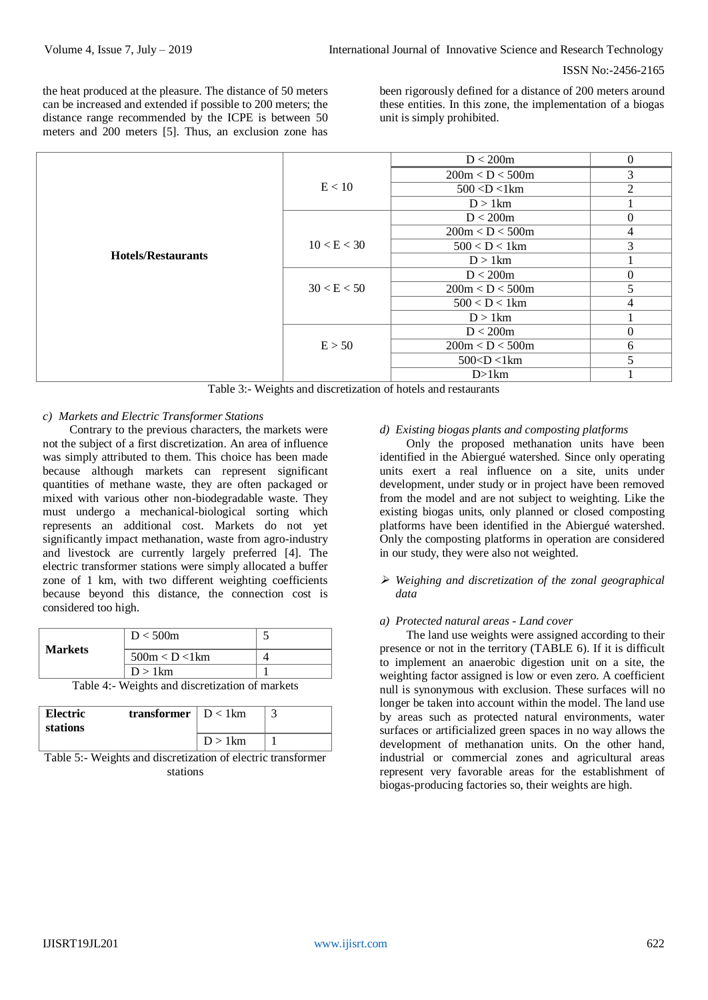the heat produced at the pleasure. The distance of 50 meters can be increased and extended if possible to 200 meters; the distance range recommended by the ICPE is between 50 meters and 200 meters [5]. Thus, an exclusion zone has

been rigorously defined for a distance of 200 meters around these entities. In this zone, the implementation of a biogas unit is simply prohibited.

|                           |             | D < 200m                                                       | $\Omega$                 |
|---------------------------|-------------|----------------------------------------------------------------|--------------------------|
|                           |             | 200m < D < 500m                                                | 3                        |
|                           | E < 10      | $500$ <d <1km<="" td=""><td><math>\mathfrak{D}</math></td></d> | $\mathfrak{D}$           |
|                           |             | $D > 1$ km                                                     |                          |
|                           |             | D < 200m                                                       | $\Omega$                 |
|                           |             | 200m < D < 500m                                                | 4                        |
|                           | 10 < E < 30 | $500 < D < 1 \text{km}$                                        | 3                        |
| <b>Hotels/Restaurants</b> |             | $D > 1$ km                                                     |                          |
|                           |             | D < 200m                                                       | $\Omega$                 |
|                           | 30 < E < 50 | 200m < D < 500m                                                | 5                        |
|                           |             | $500 < D < 1 \text{km}$                                        | 4                        |
|                           |             | $D > 1$ km                                                     |                          |
|                           |             | D < 200m                                                       | $\Omega$                 |
|                           | E > 50      | 200m < D < 500m                                                | 6                        |
|                           |             | $500 < D < 1 \text{ km}$                                       | $\overline{\mathcal{L}}$ |
|                           |             | D>1km                                                          |                          |

Table 3:- Weights and discretization of hotels and restaurants

# *c) Markets and Electric Transformer Stations*

Contrary to the previous characters, the markets were not the subject of a first discretization. An area of influence was simply attributed to them. This choice has been made because although markets can represent significant quantities of methane waste, they are often packaged or mixed with various other non-biodegradable waste. They must undergo a mechanical-biological sorting which represents an additional cost. Markets do not yet significantly impact methanation, waste from agro-industry and livestock are currently largely preferred [4]. The electric transformer stations were simply allocated a buffer zone of 1 km, with two different weighting coefficients because beyond this distance, the connection cost is considered too high.

| <b>Markets</b> | D < 500m       |  |
|----------------|----------------|--|
|                | 500m < D < 1km |  |
|                | $D > 1$ km     |  |

Table 4:- Weights and discretization of markets

| Electric<br>stations | <b>transformer</b> $\vert D \langle 1 \vert km \rangle$ |            |  |
|----------------------|---------------------------------------------------------|------------|--|
|                      |                                                         | $D > 1$ km |  |

Table 5:- Weights and discretization of electric transformer stations

# *d) Existing biogas plants and composting platforms*

Only the proposed methanation units have been identified in the Abiergué watershed. Since only operating units exert a real influence on a site, units under development, under study or in project have been removed from the model and are not subject to weighting. Like the existing biogas units, only planned or closed composting platforms have been identified in the Abiergué watershed. Only the composting platforms in operation are considered in our study, they were also not weighted.

# *Weighing and discretization of the zonal geographical data*

# *a) Protected natural areas - Land cover*

The land use weights were assigned according to their presence or not in the territory (TABLE 6). If it is difficult to implement an anaerobic digestion unit on a site, the weighting factor assigned is low or even zero. A coefficient null is synonymous with exclusion. These surfaces will no longer be taken into account within the model. The land use by areas such as protected natural environments, water surfaces or artificialized green spaces in no way allows the development of methanation units. On the other hand, industrial or commercial zones and agricultural areas represent very favorable areas for the establishment of biogas-producing factories so, their weights are high.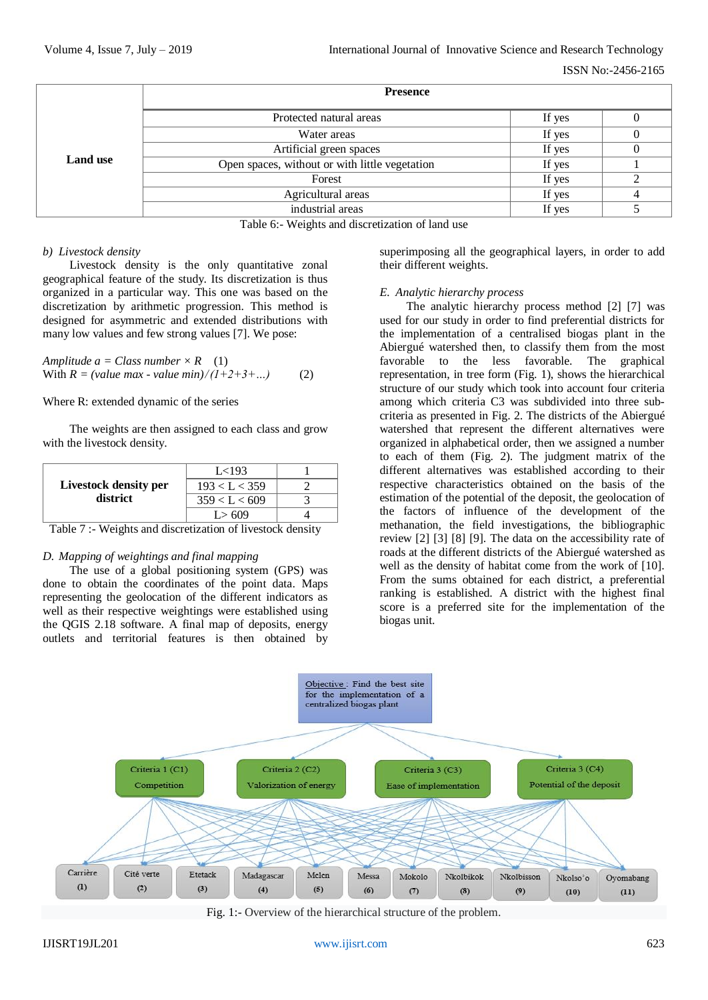ISSN No:-2456-2165

|                 | <b>Presence</b>                                |        |  |  |  |  |
|-----------------|------------------------------------------------|--------|--|--|--|--|
| <b>Land use</b> | Protected natural areas                        | If yes |  |  |  |  |
|                 | Water areas                                    | If yes |  |  |  |  |
|                 | Artificial green spaces                        | If yes |  |  |  |  |
|                 | Open spaces, without or with little vegetation | If yes |  |  |  |  |
|                 | Forest                                         | If yes |  |  |  |  |
|                 | Agricultural areas                             | If yes |  |  |  |  |
|                 | industrial areas                               | If yes |  |  |  |  |

Table 6:- Weights and discretization of land use

# *b) Livestock density*

Livestock density is the only quantitative zonal geographical feature of the study. Its discretization is thus organized in a particular way. This one was based on the discretization by arithmetic progression. This method is designed for asymmetric and extended distributions with many low values and few strong values [7]. We pose:

*Amplitude*  $a = Class number \times R$  (1) With  $R = (value max - value min)/(1+2+3+...)$  (2)

## Where R: extended dynamic of the series

The weights are then assigned to each class and grow with the livestock density.

|                                   | L<193         |  |
|-----------------------------------|---------------|--|
| Livestock density per<br>district | 193 < L < 359 |  |
|                                   | 359 < L < 609 |  |
|                                   | L > 609       |  |

Table 7 :- Weights and discretization of livestock density

#### *D. Mapping of weightings and final mapping*

The use of a global positioning system (GPS) was done to obtain the coordinates of the point data. Maps representing the geolocation of the different indicators as well as their respective weightings were established using the QGIS 2.18 software. A final map of deposits, energy outlets and territorial features is then obtained by

superimposing all the geographical layers, in order to add their different weights.

## *E. Analytic hierarchy process*

The analytic hierarchy process method [2] [7] was used for our study in order to find preferential districts for the implementation of a centralised biogas plant in the Abiergué watershed then, to classify them from the most favorable to the less favorable. The graphical representation, in tree form (Fig. 1), shows the hierarchical structure of our study which took into account four criteria among which criteria C3 was subdivided into three subcriteria as presented in Fig. 2. The districts of the Abiergué watershed that represent the different alternatives were organized in alphabetical order, then we assigned a number to each of them (Fig. 2). The judgment matrix of the different alternatives was established according to their respective characteristics obtained on the basis of the estimation of the potential of the deposit, the geolocation of the factors of influence of the development of the methanation, the field investigations, the bibliographic review [2] [3] [8] [9]. The data on the accessibility rate of roads at the different districts of the Abiergué watershed as well as the density of habitat come from the work of [10]. From the sums obtained for each district, a preferential ranking is established. A district with the highest final score is a preferred site for the implementation of the biogas unit.



Fig. 1:- Overview of the hierarchical structure of the problem.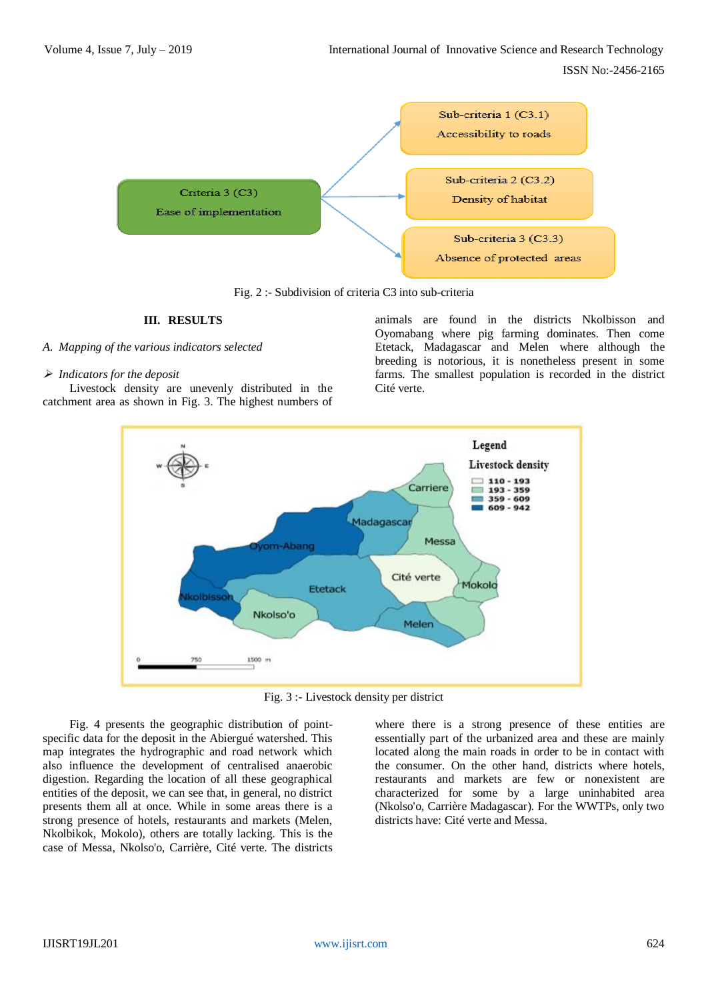

Fig. 2 :- Subdivision of criteria C3 into sub-criteria

#### **III. RESULTS**

#### *A. Mapping of the various indicators selected*

## *Indicators for the deposit*

Livestock density are unevenly distributed in the catchment area as shown in Fig. 3. The highest numbers of animals are found in the districts Nkolbisson and Oyomabang where pig farming dominates. Then come Etetack, Madagascar and Melen where although the breeding is notorious, it is nonetheless present in some farms. The smallest population is recorded in the district Cité verte.



Fig. 3 :- Livestock density per district

Fig. 4 presents the geographic distribution of pointspecific data for the deposit in the Abiergué watershed. This map integrates the hydrographic and road network which also influence the development of centralised anaerobic digestion. Regarding the location of all these geographical entities of the deposit, we can see that, in general, no district presents them all at once. While in some areas there is a strong presence of hotels, restaurants and markets (Melen, Nkolbikok, Mokolo), others are totally lacking. This is the case of Messa, Nkolso'o, Carrière, Cité verte. The districts where there is a strong presence of these entities are essentially part of the urbanized area and these are mainly located along the main roads in order to be in contact with the consumer. On the other hand, districts where hotels, restaurants and markets are few or nonexistent are characterized for some by a large uninhabited area (Nkolso'o, Carrière Madagascar). For the WWTPs, only two districts have: Cité verte and Messa.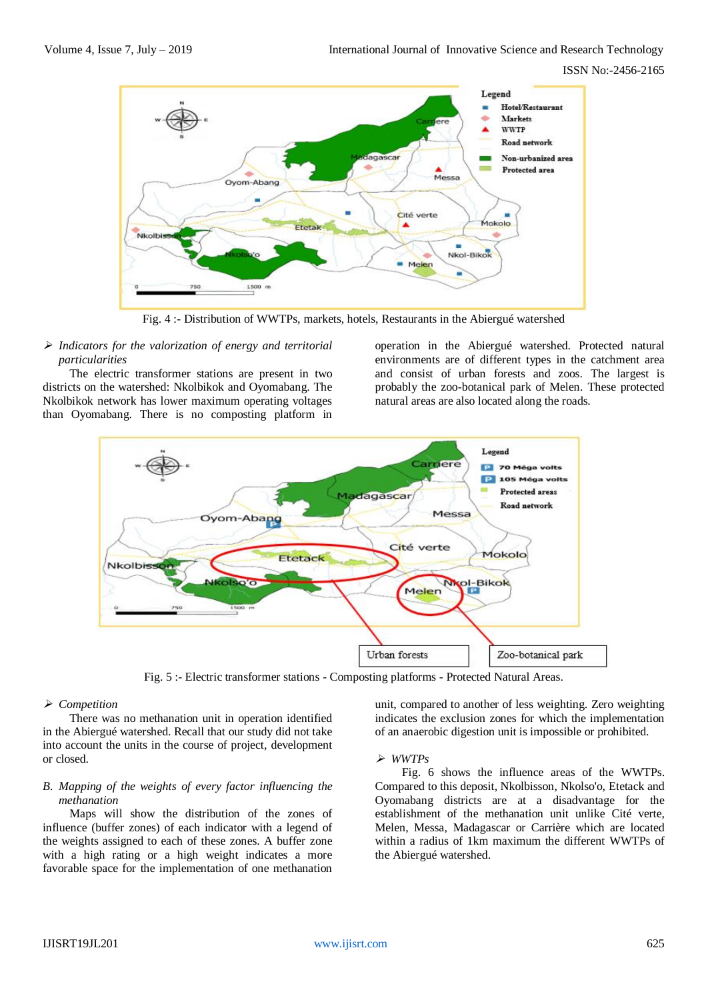

Fig. 4 :- Distribution of WWTPs, markets, hotels, Restaurants in the Abiergué watershed

## *Indicators for the valorization of energy and territorial particularities*

The electric transformer stations are present in two districts on the watershed: Nkolbikok and Oyomabang. The Nkolbikok network has lower maximum operating voltages than Oyomabang. There is no composting platform in

operation in the Abiergué watershed. Protected natural environments are of different types in the catchment area and consist of urban forests and zoos. The largest is probably the zoo-botanical park of Melen. These protected natural areas are also located along the roads.



Fig. 5 :- Electric transformer stations - Composting platforms - Protected Natural Areas.

# *Competition*

There was no methanation unit in operation identified in the Abiergué watershed. Recall that our study did not take into account the units in the course of project, development or closed.

# *B. Mapping of the weights of every factor influencing the methanation*

Maps will show the distribution of the zones of influence (buffer zones) of each indicator with a legend of the weights assigned to each of these zones. A buffer zone with a high rating or a high weight indicates a more favorable space for the implementation of one methanation

unit, compared to another of less weighting. Zero weighting indicates the exclusion zones for which the implementation of an anaerobic digestion unit is impossible or prohibited.

# *WWTPs*

Fig. 6 shows the influence areas of the WWTPs. Compared to this deposit, Nkolbisson, Nkolso'o, Etetack and Oyomabang districts are at a disadvantage for the establishment of the methanation unit unlike Cité verte, Melen, Messa, Madagascar or Carrière which are located within a radius of 1km maximum the different WWTPs of the Abiergué watershed.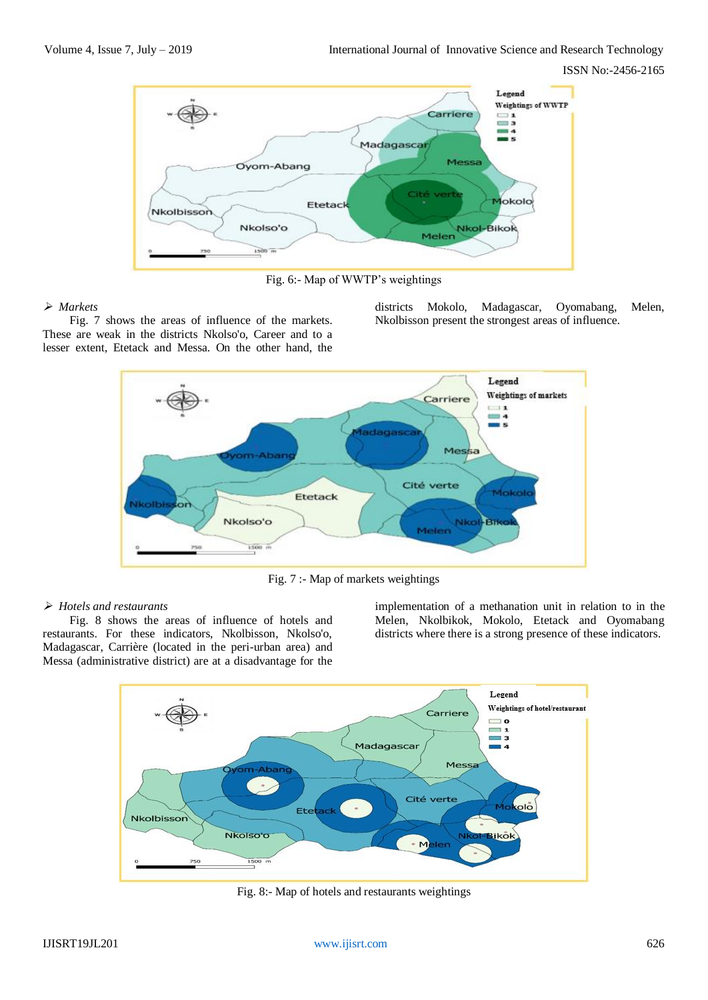

Fig. 6:- Map of WWTP's weightings

# *Markets*

Fig. 7 shows the areas of influence of the markets. These are weak in the districts Nkolso'o, Career and to a lesser extent, Etetack and Messa. On the other hand, the

districts Mokolo, Madagascar, Oyomabang, Melen, Nkolbisson present the strongest areas of influence.



Fig. 7 :- Map of markets weightings

# *Hotels and restaurants*

Fig. 8 shows the areas of influence of hotels and restaurants. For these indicators, Nkolbisson, Nkolso'o, Madagascar, Carrière (located in the peri-urban area) and Messa (administrative district) are at a disadvantage for the

implementation of a methanation unit in relation to in the Melen, Nkolbikok, Mokolo, Etetack and Oyomabang districts where there is a strong presence of these indicators.



Fig. 8:- Map of hotels and restaurants weightings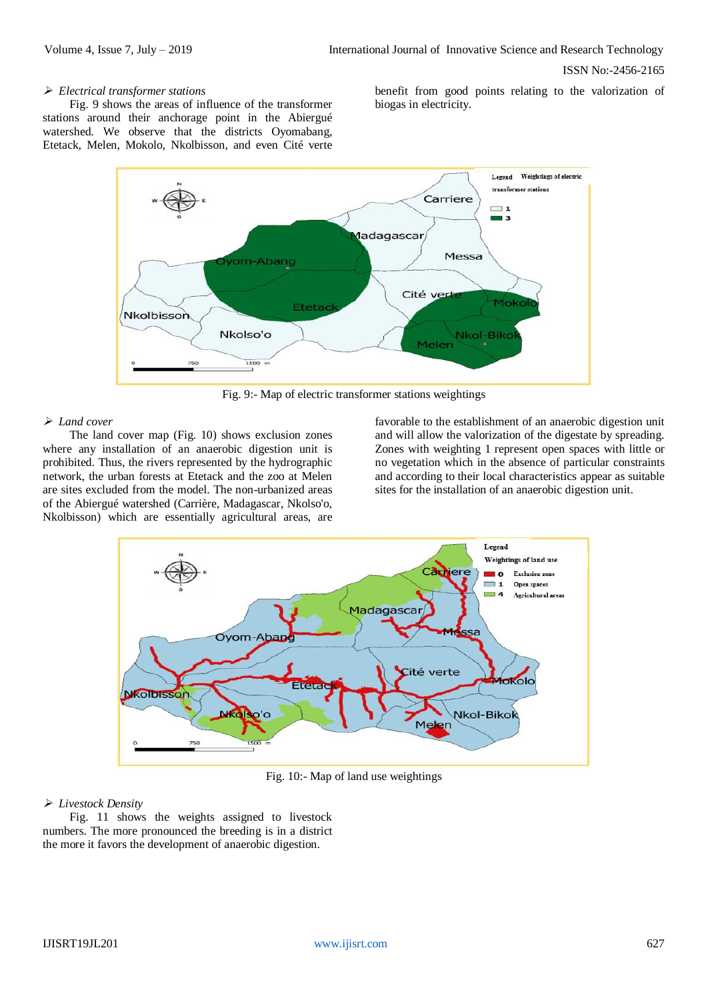## *Electrical transformer stations*

Fig. 9 shows the areas of influence of the transformer stations around their anchorage point in the Abiergué watershed. We observe that the districts Oyomabang, Etetack, Melen, Mokolo, Nkolbisson, and even Cité verte benefit from good points relating to the valorization of biogas in electricity.



Fig. 9:- Map of electric transformer stations weightings

## *Land cover*

The land cover map (Fig. 10) shows exclusion zones where any installation of an anaerobic digestion unit is prohibited. Thus, the rivers represented by the hydrographic network, the urban forests at Etetack and the zoo at Melen are sites excluded from the model. The non-urbanized areas of the Abiergué watershed (Carrière, Madagascar, Nkolso'o, Nkolbisson) which are essentially agricultural areas, are favorable to the establishment of an anaerobic digestion unit and will allow the valorization of the digestate by spreading. Zones with weighting 1 represent open spaces with little or no vegetation which in the absence of particular constraints and according to their local characteristics appear as suitable sites for the installation of an anaerobic digestion unit.



Fig. 10:- Map of land use weightings

# *Livestock Density*

Fig. 11 shows the weights assigned to livestock numbers. The more pronounced the breeding is in a district the more it favors the development of anaerobic digestion.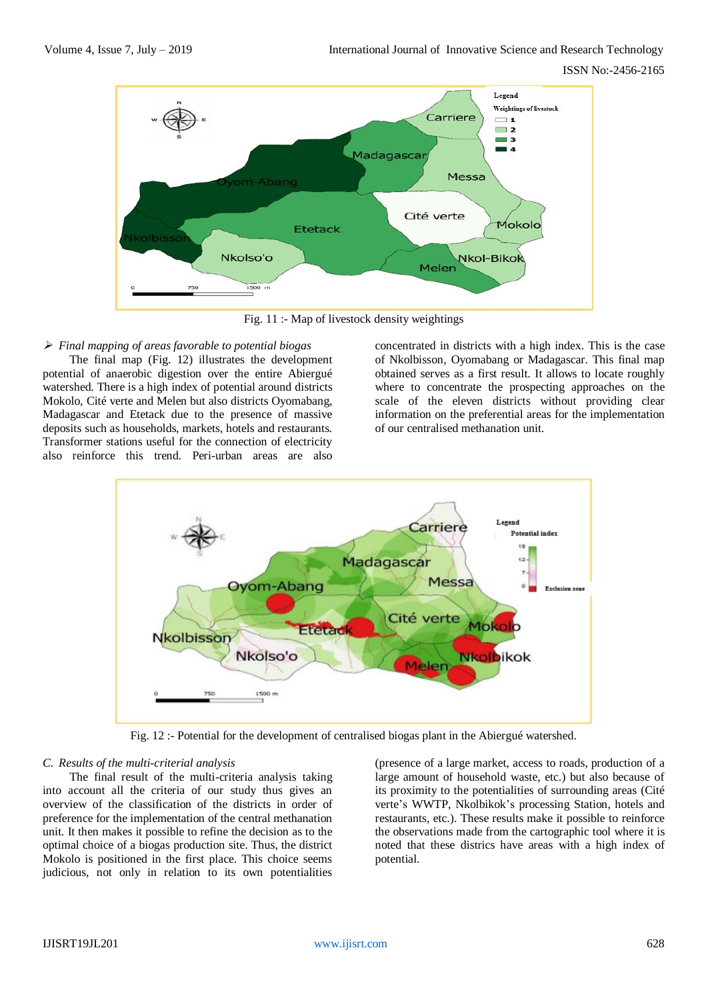

Fig. 11 :- Map of livestock density weightings

## *Final mapping of areas favorable to potential biogas*

The final map (Fig. 12) illustrates the development potential of anaerobic digestion over the entire Abiergué watershed. There is a high index of potential around districts Mokolo, Cité verte and Melen but also districts Oyomabang, Madagascar and Etetack due to the presence of massive deposits such as households, markets, hotels and restaurants. Transformer stations useful for the connection of electricity also reinforce this trend. Peri-urban areas are also

concentrated in districts with a high index. This is the case of Nkolbisson, Oyomabang or Madagascar. This final map obtained serves as a first result. It allows to locate roughly where to concentrate the prospecting approaches on the scale of the eleven districts without providing clear information on the preferential areas for the implementation of our centralised methanation unit.



Fig. 12 :- Potential for the development of centralised biogas plant in the Abiergué watershed.

#### *C. Results of the multi-criterial analysis*

The final result of the multi-criteria analysis taking into account all the criteria of our study thus gives an overview of the classification of the districts in order of preference for the implementation of the central methanation unit. It then makes it possible to refine the decision as to the optimal choice of a biogas production site. Thus, the district Mokolo is positioned in the first place. This choice seems judicious, not only in relation to its own potentialities

(presence of a large market, access to roads, production of a large amount of household waste, etc.) but also because of its proximity to the potentialities of surrounding areas (Cité verte's WWTP, Nkolbikok's processing Station, hotels and restaurants, etc.). These results make it possible to reinforce the observations made from the cartographic tool where it is noted that these districs have areas with a high index of potential.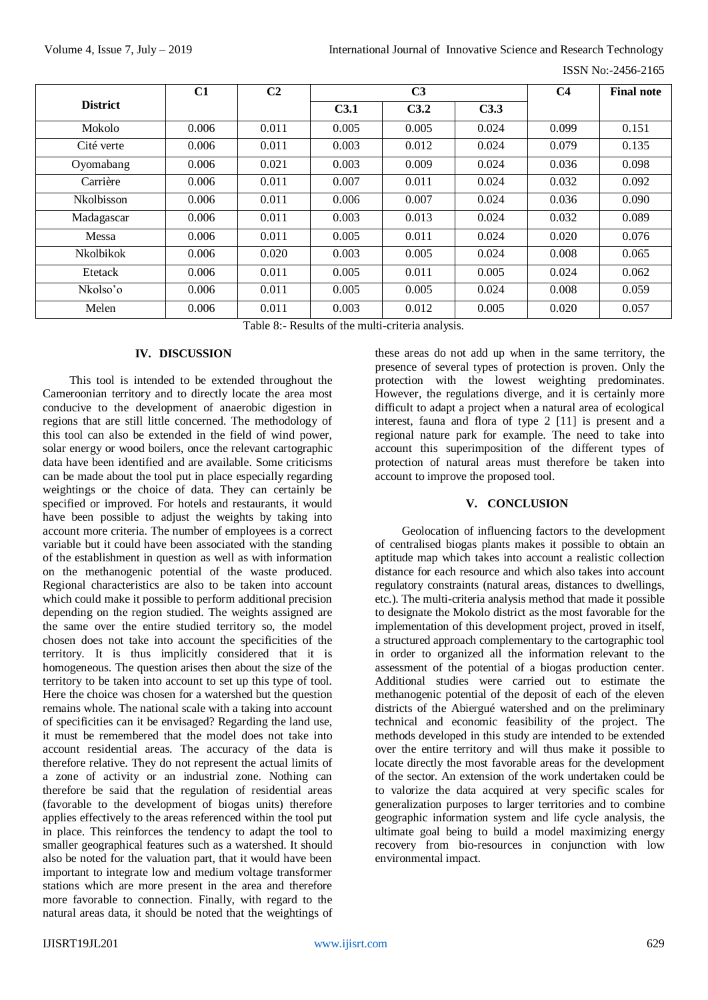|                   | C1    | C <sub>2</sub> | C <sub>3</sub> |       |       | C <sub>4</sub> | <b>Final note</b> |
|-------------------|-------|----------------|----------------|-------|-------|----------------|-------------------|
| <b>District</b>   |       |                | C3.1           | C3.2  | C3.3  |                |                   |
| Mokolo            | 0.006 | 0.011          | 0.005          | 0.005 | 0.024 | 0.099          | 0.151             |
| Cité verte        | 0.006 | 0.011          | 0.003          | 0.012 | 0.024 | 0.079          | 0.135             |
| Oyomabang         | 0.006 | 0.021          | 0.003          | 0.009 | 0.024 | 0.036          | 0.098             |
| Carrière          | 0.006 | 0.011          | 0.007          | 0.011 | 0.024 | 0.032          | 0.092             |
| <b>Nkolbisson</b> | 0.006 | 0.011          | 0.006          | 0.007 | 0.024 | 0.036          | 0.090             |
| Madagascar        | 0.006 | 0.011          | 0.003          | 0.013 | 0.024 | 0.032          | 0.089             |
| Messa             | 0.006 | 0.011          | 0.005          | 0.011 | 0.024 | 0.020          | 0.076             |
| <b>Nkolbikok</b>  | 0.006 | 0.020          | 0.003          | 0.005 | 0.024 | 0.008          | 0.065             |
| Etetack           | 0.006 | 0.011          | 0.005          | 0.011 | 0.005 | 0.024          | 0.062             |
| Nkolso'o          | 0.006 | 0.011          | 0.005          | 0.005 | 0.024 | 0.008          | 0.059             |
| Melen             | 0.006 | 0.011          | 0.003          | 0.012 | 0.005 | 0.020          | 0.057             |

Table 8:- Results of the multi-criteria analysis.

## **IV. DISCUSSION**

This tool is intended to be extended throughout the Cameroonian territory and to directly locate the area most conducive to the development of anaerobic digestion in regions that are still little concerned. The methodology of this tool can also be extended in the field of wind power, solar energy or wood boilers, once the relevant cartographic data have been identified and are available. Some criticisms can be made about the tool put in place especially regarding weightings or the choice of data. They can certainly be specified or improved. For hotels and restaurants, it would have been possible to adjust the weights by taking into account more criteria. The number of employees is a correct variable but it could have been associated with the standing of the establishment in question as well as with information on the methanogenic potential of the waste produced. Regional characteristics are also to be taken into account which could make it possible to perform additional precision depending on the region studied. The weights assigned are the same over the entire studied territory so, the model chosen does not take into account the specificities of the territory. It is thus implicitly considered that it is homogeneous. The question arises then about the size of the territory to be taken into account to set up this type of tool. Here the choice was chosen for a watershed but the question remains whole. The national scale with a taking into account of specificities can it be envisaged? Regarding the land use, it must be remembered that the model does not take into account residential areas. The accuracy of the data is therefore relative. They do not represent the actual limits of a zone of activity or an industrial zone. Nothing can therefore be said that the regulation of residential areas (favorable to the development of biogas units) therefore applies effectively to the areas referenced within the tool put in place. This reinforces the tendency to adapt the tool to smaller geographical features such as a watershed. It should also be noted for the valuation part, that it would have been important to integrate low and medium voltage transformer stations which are more present in the area and therefore more favorable to connection. Finally, with regard to the natural areas data, it should be noted that the weightings of

these areas do not add up when in the same territory, the presence of several types of protection is proven. Only the protection with the lowest weighting predominates. However, the regulations diverge, and it is certainly more difficult to adapt a project when a natural area of ecological interest, fauna and flora of type 2 [11] is present and a regional nature park for example. The need to take into account this superimposition of the different types of protection of natural areas must therefore be taken into account to improve the proposed tool.

# **V. CONCLUSION**

Geolocation of influencing factors to the development of centralised biogas plants makes it possible to obtain an aptitude map which takes into account a realistic collection distance for each resource and which also takes into account regulatory constraints (natural areas, distances to dwellings, etc.). The multi-criteria analysis method that made it possible to designate the Mokolo district as the most favorable for the implementation of this development project, proved in itself, a structured approach complementary to the cartographic tool in order to organized all the information relevant to the assessment of the potential of a biogas production center. Additional studies were carried out to estimate the methanogenic potential of the deposit of each of the eleven districts of the Abiergué watershed and on the preliminary technical and economic feasibility of the project. The methods developed in this study are intended to be extended over the entire territory and will thus make it possible to locate directly the most favorable areas for the development of the sector. An extension of the work undertaken could be to valorize the data acquired at very specific scales for generalization purposes to larger territories and to combine geographic information system and life cycle analysis, the ultimate goal being to build a model maximizing energy recovery from bio-resources in conjunction with low environmental impact.